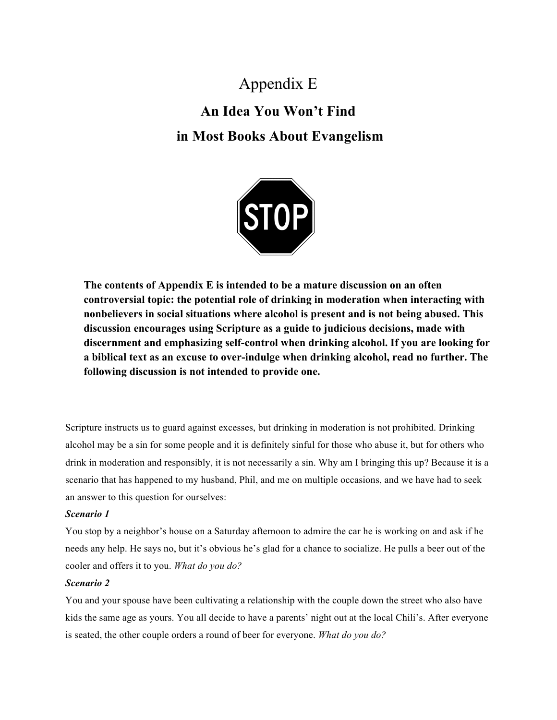# Appendix E **An Idea You Won't Find in Most Books About Evangelism**



**The contents of Appendix E is intended to be a mature discussion on an often controversial topic: the potential role of drinking in moderation when interacting with nonbelievers in social situations where alcohol is present and is not being abused. This discussion encourages using Scripture as a guide to judicious decisions, made with discernment and emphasizing self-control when drinking alcohol. If you are looking for a biblical text as an excuse to over-indulge when drinking alcohol, read no further. The following discussion is not intended to provide one.**

Scripture instructs us to guard against excesses, but drinking in moderation is not prohibited. Drinking alcohol may be a sin for some people and it is definitely sinful for those who abuse it, but for others who drink in moderation and responsibly, it is not necessarily a sin. Why am I bringing this up? Because it is a scenario that has happened to my husband, Phil, and me on multiple occasions, and we have had to seek an answer to this question for ourselves:

### *Scenario 1*

You stop by a neighbor's house on a Saturday afternoon to admire the car he is working on and ask if he needs any help. He says no, but it's obvious he's glad for a chance to socialize. He pulls a beer out of the cooler and offers it to you. *What do you do?*

## *Scenario 2*

You and your spouse have been cultivating a relationship with the couple down the street who also have kids the same age as yours. You all decide to have a parents' night out at the local Chili's. After everyone is seated, the other couple orders a round of beer for everyone. *What do you do?*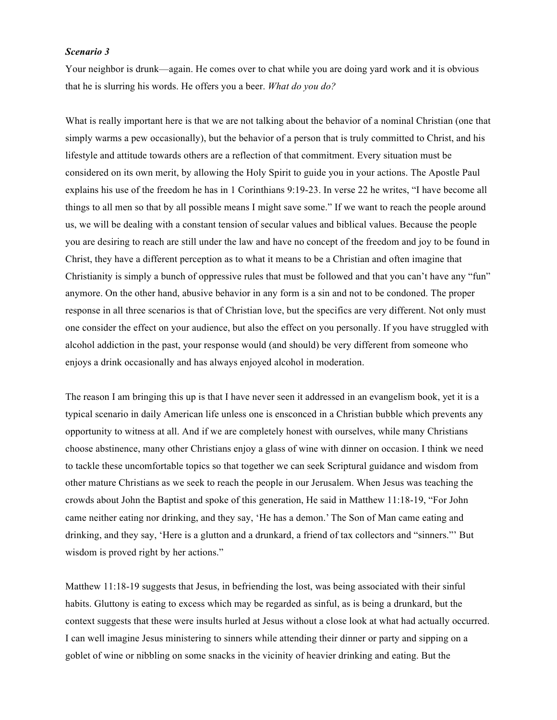#### *Scenario 3*

Your neighbor is drunk—again. He comes over to chat while you are doing yard work and it is obvious that he is slurring his words. He offers you a beer. *What do you do?*

What is really important here is that we are not talking about the behavior of a nominal Christian (one that simply warms a pew occasionally), but the behavior of a person that is truly committed to Christ, and his lifestyle and attitude towards others are a reflection of that commitment. Every situation must be considered on its own merit, by allowing the Holy Spirit to guide you in your actions. The Apostle Paul explains his use of the freedom he has in 1 Corinthians 9:19-23. In verse 22 he writes, "I have become all things to all men so that by all possible means I might save some." If we want to reach the people around us, we will be dealing with a constant tension of secular values and biblical values. Because the people you are desiring to reach are still under the law and have no concept of the freedom and joy to be found in Christ, they have a different perception as to what it means to be a Christian and often imagine that Christianity is simply a bunch of oppressive rules that must be followed and that you can't have any "fun" anymore. On the other hand, abusive behavior in any form is a sin and not to be condoned. The proper response in all three scenarios is that of Christian love, but the specifics are very different. Not only must one consider the effect on your audience, but also the effect on you personally. If you have struggled with alcohol addiction in the past, your response would (and should) be very different from someone who enjoys a drink occasionally and has always enjoyed alcohol in moderation.

The reason I am bringing this up is that I have never seen it addressed in an evangelism book, yet it is a typical scenario in daily American life unless one is ensconced in a Christian bubble which prevents any opportunity to witness at all. And if we are completely honest with ourselves, while many Christians choose abstinence, many other Christians enjoy a glass of wine with dinner on occasion. I think we need to tackle these uncomfortable topics so that together we can seek Scriptural guidance and wisdom from other mature Christians as we seek to reach the people in our Jerusalem. When Jesus was teaching the crowds about John the Baptist and spoke of this generation, He said in Matthew 11:18-19, "For John came neither eating nor drinking, and they say, 'He has a demon.' The Son of Man came eating and drinking, and they say, 'Here is a glutton and a drunkard, a friend of tax collectors and "sinners."' But wisdom is proved right by her actions."

Matthew 11:18-19 suggests that Jesus, in befriending the lost, was being associated with their sinful habits. Gluttony is eating to excess which may be regarded as sinful, as is being a drunkard, but the context suggests that these were insults hurled at Jesus without a close look at what had actually occurred. I can well imagine Jesus ministering to sinners while attending their dinner or party and sipping on a goblet of wine or nibbling on some snacks in the vicinity of heavier drinking and eating. But the